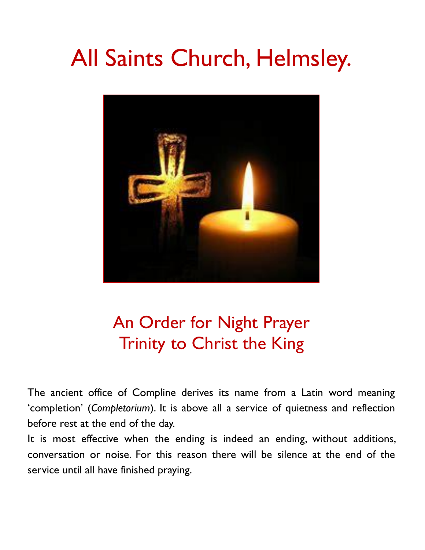# All Saints Church, Helmsley.



# An Order for Night Prayer Trinity to Christ the King

The ancient office of Compline derives its name from a Latin word meaning 'completion' (*Completorium*). It is above all a service of quietness and reflection before rest at the end of the day.

It is most effective when the ending is indeed an ending, without additions, conversation or noise. For this reason there will be silence at the end of the service until all have finished praying.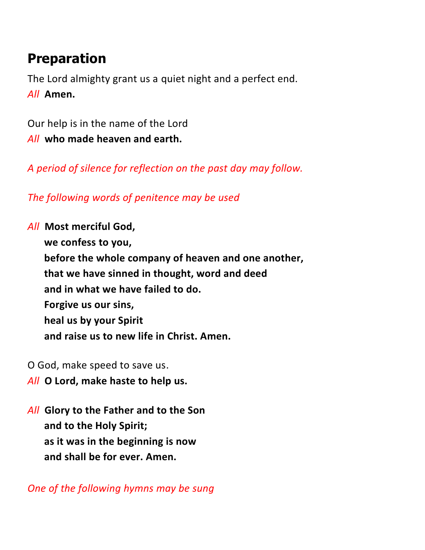# **Preparation**

The Lord almighty grant us a quiet night and a perfect end. *All* **Amen.**

Our help is in the name of the Lord *All* **who made heaven and earth.**

*A period of silence for reflection on the past day may follow.*

*The following words of penitence may be used*

*All* **Most merciful God,**

**we confess to you, before the whole company of heaven and one another, that we have sinned in thought, word and deed and in what we have failed to do. Forgive us our sins, heal us by your Spirit and raise us to new life in Christ. Amen.**

- O God, make speed to save us.
- *All* **O Lord, make haste to help us.**
- *All* **Glory to the Father and to the Son and to the Holy Spirit; as it was in the beginning is now and shall be for ever. Amen.**

*One of the following hymns may be sung*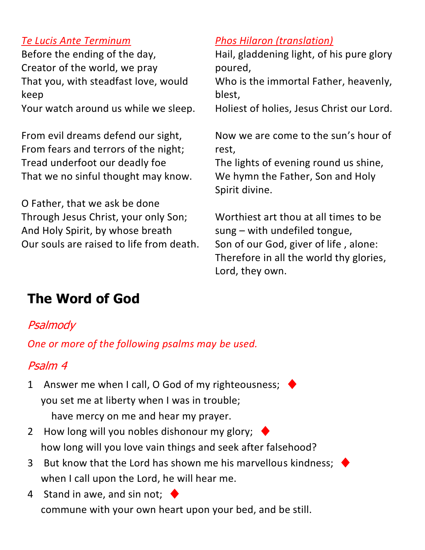#### *Te Lucis Ante Terminum*

Before the ending of the day, Creator of the world, we pray That you, with steadfast love, would keep Your watch around us while we sleep.

From evil dreams defend our sight, From fears and terrors of the night; Tread underfoot our deadly foe That we no sinful thought may know.

O Father, that we ask be done Through Jesus Christ, your only Son; And Holy Spirit, by whose breath Our souls are raised to life from death.

#### *Phos Hilaron (translation)*

Hail, gladdening light, of his pure glory poured,

Who is the immortal Father, heavenly, blest,

Holiest of holies, Jesus Christ our Lord.

Now we are come to the sun's hour of rest,

The lights of evening round us shine, We hymn the Father, Son and Holy Spirit divine.

Worthiest art thou at all times to be sung – with undefiled tongue, Son of our God, giver of life , alone: Therefore in all the world thy glories, Lord, they own.

# **The Word of God**

#### **[Psalmody](https://www.churchofengland.org/common-material/psalter#mm13a)**

*One or more of the following psalms may be used.*

# Psalm 4

- 1 Answer me when I call, O God of my righteousness; you set me at liberty when I was in trouble; have mercy on me and hear my prayer.
- 2 How long will you nobles dishonour my glory;  $\rightarrow$ how long will you love vain things and seek after falsehood?
- 3 But know that the Lord has shown me his marvellous kindness; when I call upon the Lord, he will hear me.
- 4 Stand in awe, and sin not;  $\triangleleft$ commune with your own heart upon your bed, and be still.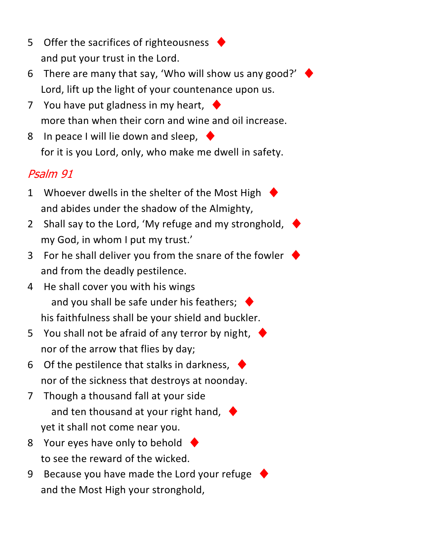- 5 Offer the sacrifices of righteousness and put your trust in the Lord.
- 6 There are many that say, 'Who will show us any good?'  $\cdot$ Lord, lift up the light of your countenance upon us.
- 7 You have put gladness in my heart,  $\blacklozenge$ more than when their corn and wine and oil increase.
- 8 In peace I will lie down and sleep, for it is you Lord, only, who make me dwell in safety.

### Psalm 91

- 1 Whoever dwells in the shelter of the Most High and abides under the shadow of the Almighty,
- 2 Shall say to the Lord, 'My refuge and my stronghold, my God, in whom I put my trust.'
- 3 For he shall deliver you from the snare of the fowler and from the deadly pestilence.
- 4 He shall cover you with his wings and you shall be safe under his feathers;  $\blacklozenge$ his faithfulness shall be your shield and buckler.
- 5 You shall not be afraid of any terror by night,  $\blacklozenge$ nor of the arrow that flies by day;
- 6 Of the pestilence that stalks in darkness,  $\blacklozenge$ nor of the sickness that destroys at noonday.
- 7 Though a thousand fall at your side and ten thousand at your right hand,  $\triangleleft$ yet it shall not come near you.
- 8 Your eyes have only to behold  $\blacklozenge$ to see the reward of the wicked.
- 9 Because you have made the Lord your refuge and the Most High your stronghold,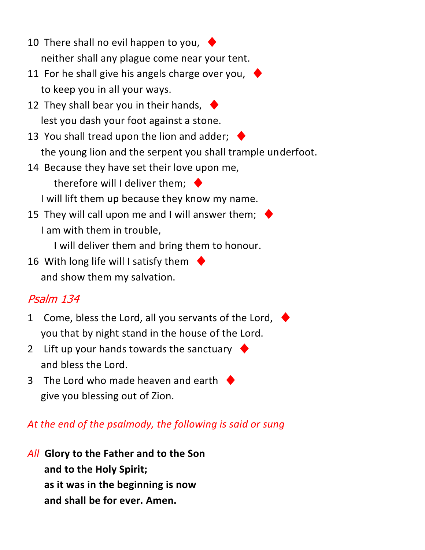- 10 There shall no evil happen to you,  $\blacklozenge$ neither shall any plague come near your tent.
- 11 For he shall give his angels charge over you,  $\blacklozenge$ to keep you in all your ways.
- 12 They shall bear you in their hands,  $\blacklozenge$ lest you dash your foot against a stone.
- 13 You shall tread upon the lion and adder;  $\blacklozenge$ the young lion and the serpent you shall trample underfoot.
- 14 Because they have set their love upon me, therefore will I deliver them;  $\blacklozenge$

I will lift them up because they know my name.

15 They will call upon me and I will answer them;  $\cdot$ I am with them in trouble,

I will deliver them and bring them to honour.

16 With long life will I satisfy them  $\blacklozenge$ and show them my salvation.

#### Psalm 134

- 1 Come, bless the Lord, all you servants of the Lord, you that by night stand in the house of the Lord.
- 2 Lift up your hands towards the sanctuary  $\blacklozenge$ and bless the Lord.
- 3 The Lord who made heaven and earth  $\rightarrow$ give you blessing out of Zion.

#### *At the end of the psalmody, the following is said or sung*

*All* **Glory to the Father and to the Son and to the Holy Spirit; as it was in the beginning is now and shall be for ever. Amen.**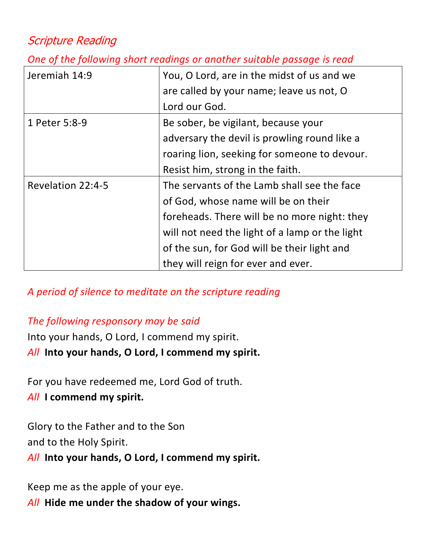#### Scripture Reading

*One of the following short readings or another suitable passage is read*

| Jeremiah 14:9     | You, O Lord, are in the midst of us and we<br>are called by your name; leave us not, O |
|-------------------|----------------------------------------------------------------------------------------|
|                   | Lord our God.                                                                          |
| 1 Peter 5:8-9     | Be sober, be vigilant, because your                                                    |
|                   | adversary the devil is prowling round like a                                           |
|                   | roaring lion, seeking for someone to devour.                                           |
|                   | Resist him, strong in the faith.                                                       |
| Revelation 22:4-5 | The servants of the Lamb shall see the face                                            |
|                   | of God, whose name will be on their                                                    |
|                   | foreheads. There will be no more night: they                                           |
|                   | will not need the light of a lamp or the light                                         |
|                   | of the sun, for God will be their light and                                            |
|                   | they will reign for ever and ever.                                                     |

*A period of silence to meditate on the scripture reading*

#### *The following responsory may be said*

Into your hands, O Lord, I commend my spirit. *All* **Into your hands, O Lord, I commend my spirit.**

For you have redeemed me, Lord God of truth.

#### *All* **I commend my spirit.**

Glory to the Father and to the Son and to the Holy Spirit.

*All* **Into your hands, O Lord, I commend my spirit.**

Keep me as the apple of your eye.

*All* **Hide me under the shadow of your wings.**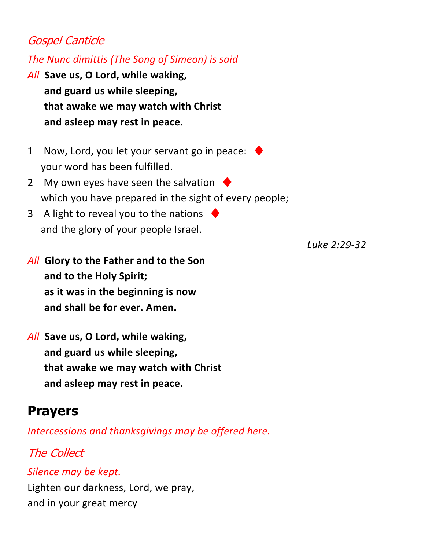#### Gospel Canticle

*The Nunc dimittis (The Song of Simeon) is said*

- *All* **Save us, O Lord, while waking, and guard us while sleeping, that awake we may watch with Christ and asleep may rest in peace.**
- 1 Now, Lord, you let your servant go in peace: your word has been fulfilled.
- 2 My own eyes have seen the salvation  $\blacklozenge$ which you have prepared in the sight of every people;
- 3 A light to reveal you to the nations and the glory of your people Israel.
- *All* **Glory to the Father and to the Son and to the Holy Spirit; as it was in the beginning is now and shall be for ever. Amen.**
- *All* **Save us, O Lord, while waking, and guard us while sleeping, that awake we may watch with Christ and asleep may rest in peace.**

# **Prayers**

*Intercessions and thanksgivings may be offered here.*

# The Collect

*Silence may be kept.*

Lighten our darkness, Lord, we pray, and in your great mercy

*Luke 2:29-32*